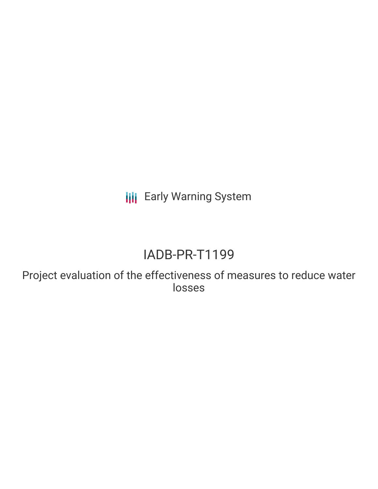**III** Early Warning System

# IADB-PR-T1199

Project evaluation of the effectiveness of measures to reduce water losses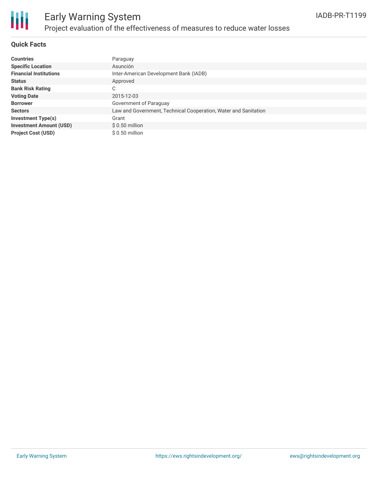

#### **Quick Facts**

| <b>Countries</b>               | Paraguay                                                        |
|--------------------------------|-----------------------------------------------------------------|
| <b>Specific Location</b>       | Asunción                                                        |
| <b>Financial Institutions</b>  | Inter-American Development Bank (IADB)                          |
| <b>Status</b>                  | Approved                                                        |
| <b>Bank Risk Rating</b>        | C                                                               |
| <b>Voting Date</b>             | 2015-12-03                                                      |
| <b>Borrower</b>                | Government of Paraguay                                          |
| <b>Sectors</b>                 | Law and Government, Technical Cooperation, Water and Sanitation |
| <b>Investment Type(s)</b>      | Grant                                                           |
| <b>Investment Amount (USD)</b> | $$0.50$ million                                                 |
| <b>Project Cost (USD)</b>      | $$0.50$ million                                                 |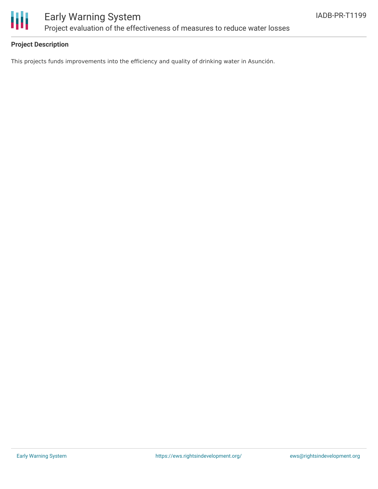

### Early Warning System Project evaluation of the effectiveness of measures to reduce water losses

#### **Project Description**

This projects funds improvements into the efficiency and quality of drinking water in Asunción.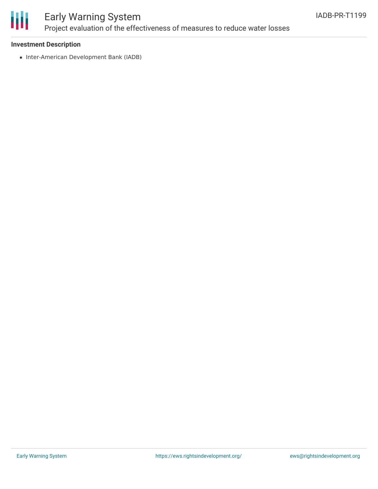

### Early Warning System Project evaluation of the effectiveness of measures to reduce water losses

#### **Investment Description**

• Inter-American Development Bank (IADB)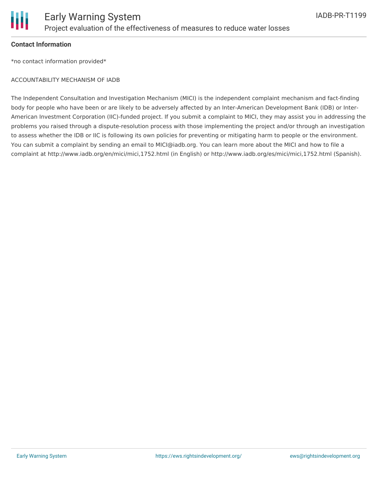

#### **Contact Information**

\*no contact information provided\*

#### ACCOUNTABILITY MECHANISM OF IADB

The Independent Consultation and Investigation Mechanism (MICI) is the independent complaint mechanism and fact-finding body for people who have been or are likely to be adversely affected by an Inter-American Development Bank (IDB) or Inter-American Investment Corporation (IIC)-funded project. If you submit a complaint to MICI, they may assist you in addressing the problems you raised through a dispute-resolution process with those implementing the project and/or through an investigation to assess whether the IDB or IIC is following its own policies for preventing or mitigating harm to people or the environment. You can submit a complaint by sending an email to MICI@iadb.org. You can learn more about the MICI and how to file a complaint at http://www.iadb.org/en/mici/mici,1752.html (in English) or http://www.iadb.org/es/mici/mici,1752.html (Spanish).